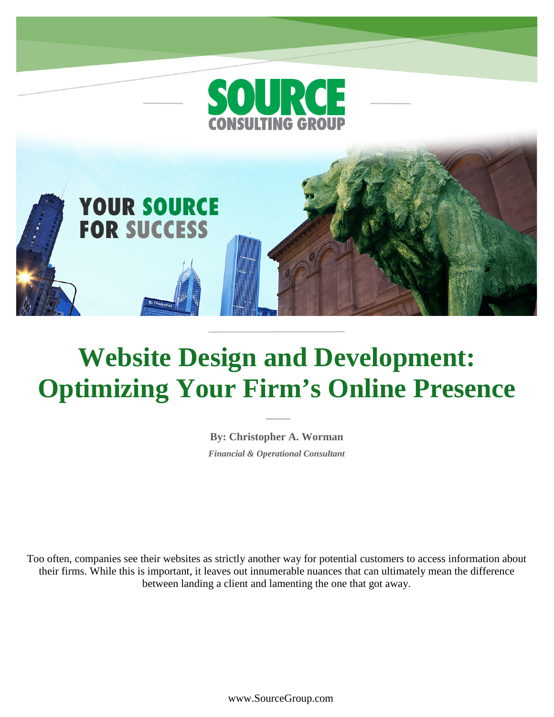

**YOUR SOURCE** 

**FOR SUCCESS** 

# **Website Design and Development: Optimizing Your Firm's Online Presence**

**By: Christopher A. Worman** *Financial & Operational Consultant*

Too often, companies see their websites as strictly another way for potential customers to access information about their firms. While this is important, it leaves out innumerable nuances that can ultimately mean the difference between landing a client and lamenting the one that got away.

www.SourceGroup.com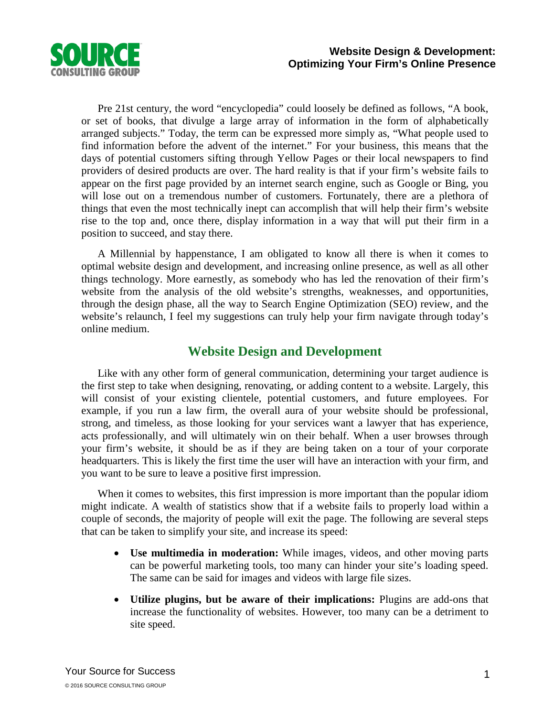

Pre 21st century, the word "encyclopedia" could loosely be defined as follows, "A book, or set of books, that divulge a large array of information in the form of alphabetically arranged subjects." Today, the term can be expressed more simply as, "What people used to find information before the advent of the internet." For your business, this means that the days of potential customers sifting through Yellow Pages or their local newspapers to find providers of desired products are over. The hard reality is that if your firm's website fails to appear on the first page provided by an internet search engine, such as Google or Bing, you will lose out on a tremendous number of customers. Fortunately, there are a plethora of things that even the most technically inept can accomplish that will help their firm's website rise to the top and, once there, display information in a way that will put their firm in a position to succeed, and stay there.

A Millennial by happenstance, I am obligated to know all there is when it comes to optimal website design and development, and increasing online presence, as well as all other things technology. More earnestly, as somebody who has led the renovation of their firm's website from the analysis of the old website's strengths, weaknesses, and opportunities, through the design phase, all the way to Search Engine Optimization (SEO) review, and the website's relaunch, I feel my suggestions can truly help your firm navigate through today's online medium.

### **Website Design and Development**

Like with any other form of general communication, determining your target audience is the first step to take when designing, renovating, or adding content to a website. Largely, this will consist of your existing clientele, potential customers, and future employees. For example, if you run a law firm, the overall aura of your website should be professional, strong, and timeless, as those looking for your services want a lawyer that has experience, acts professionally, and will ultimately win on their behalf. When a user browses through your firm's website, it should be as if they are being taken on a tour of your corporate headquarters. This is likely the first time the user will have an interaction with your firm, and you want to be sure to leave a positive first impression.

When it comes to websites, this first impression is more important than the popular idiom might indicate. A wealth of statistics show that if a website fails to properly load within a couple of seconds, the majority of people will exit the page. The following are several steps that can be taken to simplify your site, and increase its speed:

- **Use multimedia in moderation:** While images, videos, and other moving parts can be powerful marketing tools, too many can hinder your site's loading speed. The same can be said for images and videos with large file sizes.
- **Utilize plugins, but be aware of their implications:** Plugins are add-ons that increase the functionality of websites. However, too many can be a detriment to site speed.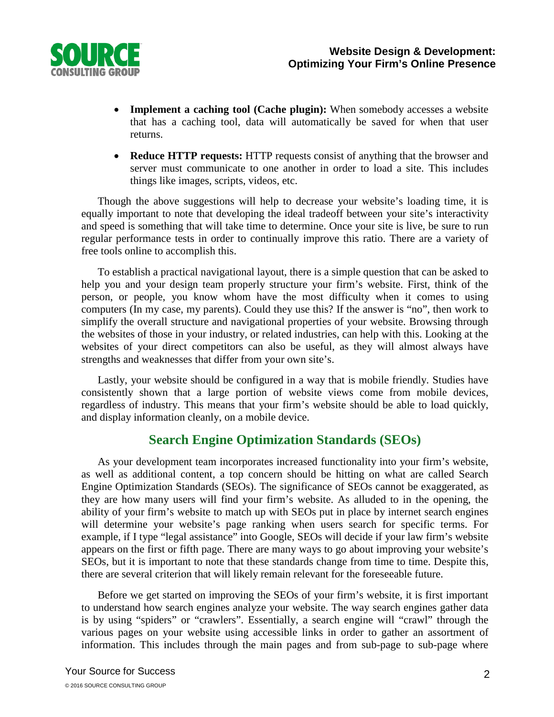

- **Implement a caching tool (Cache plugin):** When somebody accesses a website that has a caching tool, data will automatically be saved for when that user returns.
- **Reduce HTTP requests:** HTTP requests consist of anything that the browser and server must communicate to one another in order to load a site. This includes things like images, scripts, videos, etc.

Though the above suggestions will help to decrease your website's loading time, it is equally important to note that developing the ideal tradeoff between your site's interactivity and speed is something that will take time to determine. Once your site is live, be sure to run regular performance tests in order to continually improve this ratio. There are a variety of free tools online to accomplish this.

To establish a practical navigational layout, there is a simple question that can be asked to help you and your design team properly structure your firm's website. First, think of the person, or people, you know whom have the most difficulty when it comes to using computers (In my case, my parents). Could they use this? If the answer is "no", then work to simplify the overall structure and navigational properties of your website. Browsing through the websites of those in your industry, or related industries, can help with this. Looking at the websites of your direct competitors can also be useful, as they will almost always have strengths and weaknesses that differ from your own site's.

Lastly, your website should be configured in a way that is mobile friendly. Studies have consistently shown that a large portion of website views come from mobile devices, regardless of industry. This means that your firm's website should be able to load quickly, and display information cleanly, on a mobile device.

# **Search Engine Optimization Standards (SEOs)**

As your development team incorporates increased functionality into your firm's website, as well as additional content, a top concern should be hitting on what are called Search Engine Optimization Standards (SEOs). The significance of SEOs cannot be exaggerated, as they are how many users will find your firm's website. As alluded to in the opening, the ability of your firm's website to match up with SEOs put in place by internet search engines will determine your website's page ranking when users search for specific terms. For example, if I type "legal assistance" into Google, SEOs will decide if your law firm's website appears on the first or fifth page. There are many ways to go about improving your website's SEOs, but it is important to note that these standards change from time to time. Despite this, there are several criterion that will likely remain relevant for the foreseeable future.

Before we get started on improving the SEOs of your firm's website, it is first important to understand how search engines analyze your website. The way search engines gather data is by using "spiders" or "crawlers". Essentially, a search engine will "crawl" through the various pages on your website using accessible links in order to gather an assortment of information. This includes through the main pages and from sub-page to sub-page where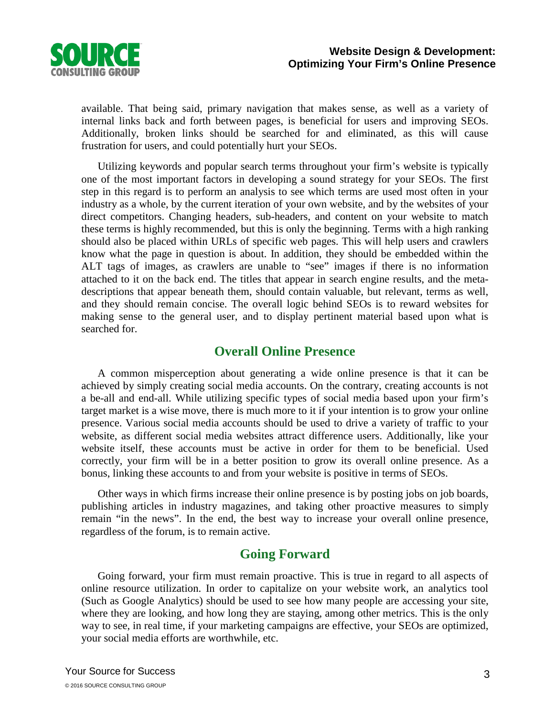

available. That being said, primary navigation that makes sense, as well as a variety of internal links back and forth between pages, is beneficial for users and improving SEOs. Additionally, broken links should be searched for and eliminated, as this will cause frustration for users, and could potentially hurt your SEOs.

Utilizing keywords and popular search terms throughout your firm's website is typically one of the most important factors in developing a sound strategy for your SEOs. The first step in this regard is to perform an analysis to see which terms are used most often in your industry as a whole, by the current iteration of your own website, and by the websites of your direct competitors. Changing headers, sub-headers, and content on your website to match these terms is highly recommended, but this is only the beginning. Terms with a high ranking should also be placed within URLs of specific web pages. This will help users and crawlers know what the page in question is about. In addition, they should be embedded within the ALT tags of images, as crawlers are unable to "see" images if there is no information attached to it on the back end. The titles that appear in search engine results, and the metadescriptions that appear beneath them, should contain valuable, but relevant, terms as well, and they should remain concise. The overall logic behind SEOs is to reward websites for making sense to the general user, and to display pertinent material based upon what is searched for.

### **Overall Online Presence**

A common misperception about generating a wide online presence is that it can be achieved by simply creating social media accounts. On the contrary, creating accounts is not a be-all and end-all. While utilizing specific types of social media based upon your firm's target market is a wise move, there is much more to it if your intention is to grow your online presence. Various social media accounts should be used to drive a variety of traffic to your website, as different social media websites attract difference users. Additionally, like your website itself, these accounts must be active in order for them to be beneficial. Used correctly, your firm will be in a better position to grow its overall online presence. As a bonus, linking these accounts to and from your website is positive in terms of SEOs.

Other ways in which firms increase their online presence is by posting jobs on job boards, publishing articles in industry magazines, and taking other proactive measures to simply remain "in the news". In the end, the best way to increase your overall online presence, regardless of the forum, is to remain active.

# **Going Forward**

Going forward, your firm must remain proactive. This is true in regard to all aspects of online resource utilization. In order to capitalize on your website work, an analytics tool (Such as Google Analytics) should be used to see how many people are accessing your site, where they are looking, and how long they are staying, among other metrics. This is the only way to see, in real time, if your marketing campaigns are effective, your SEOs are optimized, your social media efforts are worthwhile, etc.